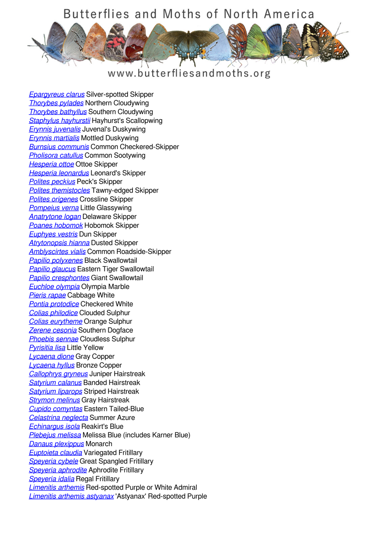## Butterflies and Moths of North America



## www.butterfliesandmoths.org

*[Epargyreus clarus](/species/Epargyreus-clarus)* Silver-spotted Skipper *[Thorybes pylades](/species/Thorybes-pylades)* Northern Cloudywing *[Thorybes bathyllus](/species/Thorybes-bathyllus)* Southern Cloudywing *[Staphylus hayhurstii](/species/Staphylus-hayhurstii)* Hayhurst's Scallopwing *[Erynnis juvenalis](/species/Erynnis-juvenalis)* Juvenal's Duskywing *[Erynnis martialis](/species/Erynnis-martialis)* Mottled Duskywing *[Burnsius communis](/species/Pyrgus-communis)* Common Checkered-Skipper *[Pholisora catullus](/species/Pholisora-catullus)* Common Sootywing *[Hesperia ottoe](/species/Hesperia-ottoe)* Ottoe Skipper *[Hesperia leonardus](/species/Hesperia-leonardus)* Leonard's Skipper *[Polites peckius](/species/Polites-peckius)* Peck's Skipper *[Polites themistocles](/species/Polites-themistocles)* Tawny-edged Skipper *[Polites origenes](/species/Polites-origenes)* Crossline Skipper *[Pompeius verna](/species/Pompeius-verna)* Little Glassywing *[Anatrytone logan](/species/Anatrytone-logan)* Delaware Skipper *[Poanes hobomok](/species/Poanes-hobomok)* Hobomok Skipper *[Euphyes vestris](/species/Euphyes-vestris)* Dun Skipper *[Atrytonopsis hianna](/species/Atrytonopsis-hianna)* Dusted Skipper *[Amblyscirtes vialis](/species/Amblyscirtes-vialis)* Common Roadside-Skipper *[Papilio polyxenes](/species/Papilio-polyxenes)* Black Swallowtail *[Papilio glaucus](/species/Papilio-glaucus)* Eastern Tiger Swallowtail *[Papilio cresphontes](/species/Papilio-cresphontes)* Giant Swallowtail *[Euchloe olympia](/species/Euchloe-olympia)* Olympia Marble *[Pieris rapae](/species/Pieris-rapae)* Cabbage White *[Pontia protodice](/species/Pontia-protodice)* Checkered White *[Colias philodice](/species/Colias-philodice)* Clouded Sulphur *[Colias eurytheme](/species/Colias-eurytheme)* Orange Sulphur *[Zerene cesonia](/species/Zerene-cesonia)* Southern Dogface *[Phoebis sennae](/species/Phoebis-sennae)* Cloudless Sulphur *[Pyrisitia lisa](/species/Pyrisitia-lisa)* Little Yellow *[Lycaena dione](/species/Lycaena-dione)* Gray Copper *[Lycaena hyllus](/species/Lycaena-hyllus)* Bronze Copper *[Callophrys gryneus](/species/Callophrys-gryneus)* Juniper Hairstreak *[Satyrium calanus](/species/Satyrium-calanus)* Banded Hairstreak *[Satyrium liparops](/species/Satyrium-liparops)* Striped Hairstreak *[Strymon melinus](/species/Strymon-melinus)* Gray Hairstreak *[Cupido comyntas](/species/Cupido-comyntas)* Eastern Tailed-Blue *[Celastrina neglecta](/species/Celastrina-neglecta)* Summer Azure *[Echinargus isola](/species/Echinargus-isola)* Reakirt's Blue *[Plebejus melissa](/species/Plebejus-melissa)* Melissa Blue (includes Karner Blue) *[Danaus plexippus](/species/Danaus-plexippus)* Monarch *[Euptoieta claudia](/species/Euptoieta-claudia)* Variegated Fritillary *[Speyeria cybele](/species/Speyeria-cybele)* Great Spangled Fritillary *[Speyeria aphrodite](/species/Speyeria-aphrodite)* Aphrodite Fritillary *[Speyeria idalia](/species/Speyeria-idalia)* Regal Fritillary *[Limenitis arthemis](/species/Limenitis-arthemis)* Red-spotted Purple or White Admiral *[Limenitis arthemis astyanax](/species/Limenitis-arthemis-astyanax)* 'Astyanax' Red-spotted Purple